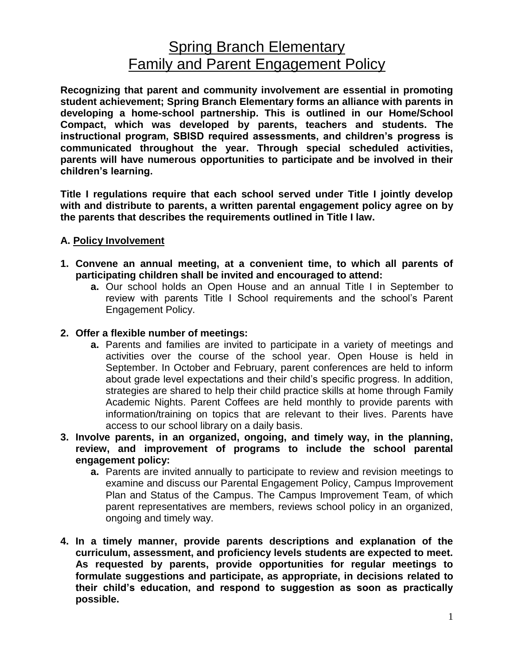## **Spring Branch Elementary** Family and Parent Engagement Policy

**Recognizing that parent and community involvement are essential in promoting student achievement; Spring Branch Elementary forms an alliance with parents in developing a home-school partnership. This is outlined in our Home/School Compact, which was developed by parents, teachers and students. The instructional program, SBISD required assessments, and children's progress is communicated throughout the year. Through special scheduled activities, parents will have numerous opportunities to participate and be involved in their children's learning.**

**Title I regulations require that each school served under Title I jointly develop with and distribute to parents, a written parental engagement policy agree on by the parents that describes the requirements outlined in Title I law.**

## **A. Policy Involvement**

- **1. Convene an annual meeting, at a convenient time, to which all parents of participating children shall be invited and encouraged to attend:**
	- **a.** Our school holds an Open House and an annual Title I in September to review with parents Title I School requirements and the school's Parent Engagement Policy.
- **2. Offer a flexible number of meetings:**
	- **a.** Parents and families are invited to participate in a variety of meetings and activities over the course of the school year. Open House is held in September. In October and February, parent conferences are held to inform about grade level expectations and their child's specific progress. In addition, strategies are shared to help their child practice skills at home through Family Academic Nights. Parent Coffees are held monthly to provide parents with information/training on topics that are relevant to their lives. Parents have access to our school library on a daily basis.
- **3. Involve parents, in an organized, ongoing, and timely way, in the planning, review, and improvement of programs to include the school parental engagement policy:**
	- **a.** Parents are invited annually to participate to review and revision meetings to examine and discuss our Parental Engagement Policy, Campus Improvement Plan and Status of the Campus. The Campus Improvement Team, of which parent representatives are members, reviews school policy in an organized, ongoing and timely way.
- **4. In a timely manner, provide parents descriptions and explanation of the curriculum, assessment, and proficiency levels students are expected to meet. As requested by parents, provide opportunities for regular meetings to formulate suggestions and participate, as appropriate, in decisions related to their child's education, and respond to suggestion as soon as practically possible.**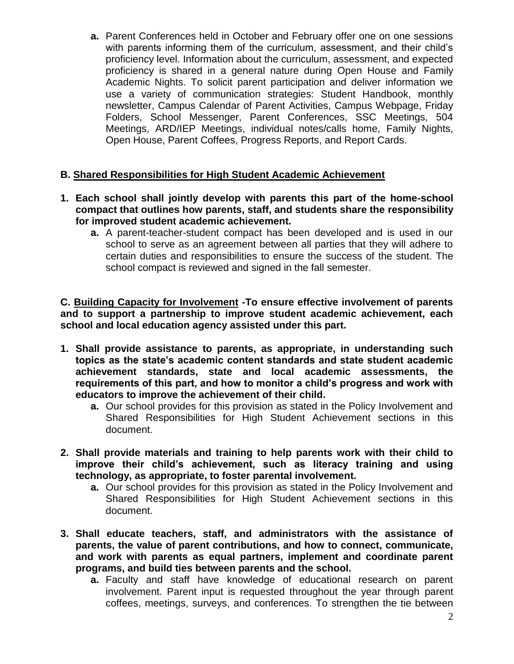**a.** Parent Conferences held in October and February offer one on one sessions with parents informing them of the curriculum, assessment, and their child's proficiency level. Information about the curriculum, assessment, and expected proficiency is shared in a general nature during Open House and Family Academic Nights. To solicit parent participation and deliver information we use a variety of communication strategies: Student Handbook, monthly newsletter, Campus Calendar of Parent Activities, Campus Webpage, Friday Folders, School Messenger, Parent Conferences, SSC Meetings, 504 Meetings, ARD/IEP Meetings, individual notes/calls home, Family Nights, Open House, Parent Coffees, Progress Reports, and Report Cards.

## **B. Shared Responsibilities for High Student Academic Achievement**

- **1. Each school shall jointly develop with parents this part of the home-school compact that outlines how parents, staff, and students share the responsibility for improved student academic achievement.**
	- **a.** A parent-teacher-student compact has been developed and is used in our school to serve as an agreement between all parties that they will adhere to certain duties and responsibilities to ensure the success of the student. The school compact is reviewed and signed in the fall semester.

**C. Building Capacity for Involvement -To ensure effective involvement of parents and to support a partnership to improve student academic achievement, each school and local education agency assisted under this part.** 

- **1. Shall provide assistance to parents, as appropriate, in understanding such topics as the state's academic content standards and state student academic achievement standards, state and local academic assessments, the requirements of this part, and how to monitor a child's progress and work with educators to improve the achievement of their child.**
	- **a.** Our school provides for this provision as stated in the Policy Involvement and Shared Responsibilities for High Student Achievement sections in this document.
- **2. Shall provide materials and training to help parents work with their child to improve their child's achievement, such as literacy training and using technology, as appropriate, to foster parental involvement.**
	- **a.** Our school provides for this provision as stated in the Policy Involvement and Shared Responsibilities for High Student Achievement sections in this document.
- **3. Shall educate teachers, staff, and administrators with the assistance of parents, the value of parent contributions, and how to connect, communicate, and work with parents as equal partners, implement and coordinate parent programs, and build ties between parents and the school.**
	- **a.** Faculty and staff have knowledge of educational research on parent involvement. Parent input is requested throughout the year through parent coffees, meetings, surveys, and conferences. To strengthen the tie between